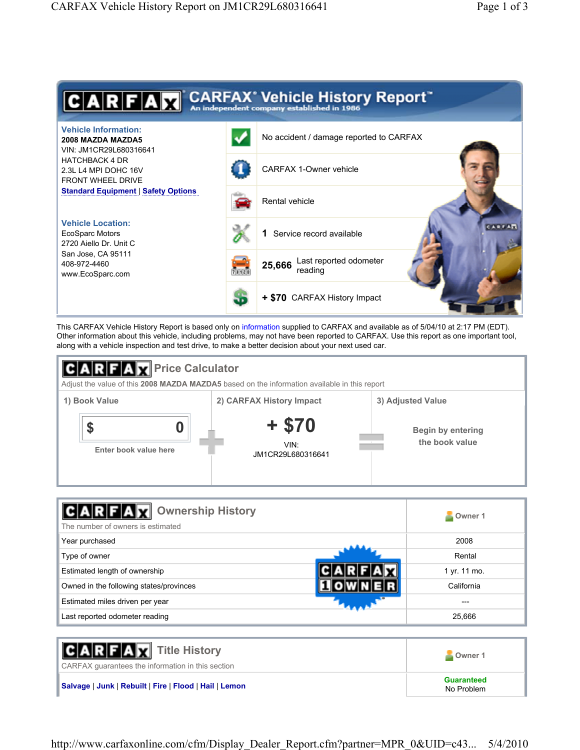

This CARFAX Vehicle History Report is based only on information supplied to CARFAX and available as of 5/04/10 at 2:17 PM (EDT). Other information about this vehicle, including problems, may not have been reported to CARFAX. Use this report as one important tool, along with a vehicle inspection and test drive, to make a better decision about your next used car.



| <b>GARFAX</b> Ownership History<br>The number of owners is estimated | Owner 1      |
|----------------------------------------------------------------------|--------------|
| Year purchased                                                       | 2008         |
| Type of owner                                                        | Rental       |
| Estimated length of ownership                                        | 1 yr. 11 mo. |
| Owned in the following states/provinces                              | California   |
| Estimated miles driven per year                                      |              |
| Last reported odometer reading                                       | 25,666       |

| <b>CARFAX</b> Title History<br>CARFAX guarantees the information in this section | Owner 1                         |
|----------------------------------------------------------------------------------|---------------------------------|
| Salvage   Junk   Rebuilt   Fire   Flood   Hail   Lemon                           | <b>Guaranteed</b><br>No Problem |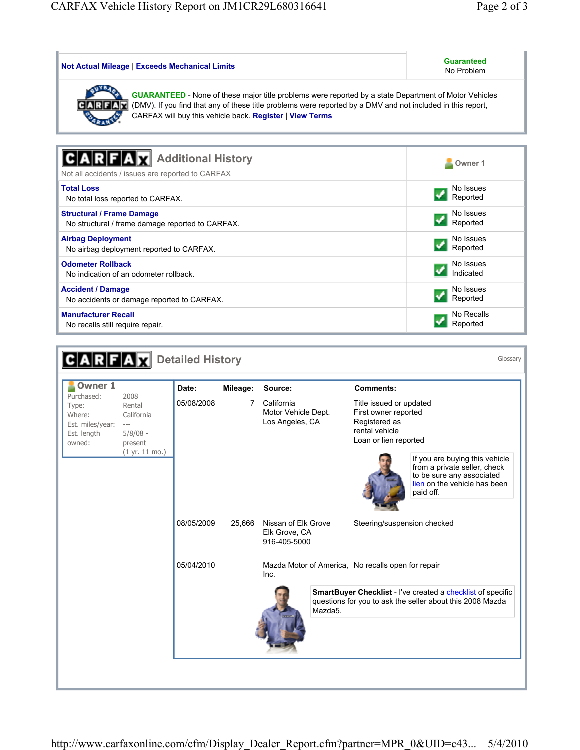| <b>Not Actual Mileage   Exceeds Mechanical Limits</b>                                                                                                                                                                                                                                                     | <b>Guaranteed</b><br>No Problem |  |  |  |  |
|-----------------------------------------------------------------------------------------------------------------------------------------------------------------------------------------------------------------------------------------------------------------------------------------------------------|---------------------------------|--|--|--|--|
| <b>GUARANTEED</b> - None of these major title problems were reported by a state Department of Motor Vehicles<br>(DMV). If you find that any of these title problems were reported by a DMV and not included in this report,<br>$ C $ A $ R F$<br>CARFAX will buy this vehicle back. Register   View Terms |                                 |  |  |  |  |
|                                                                                                                                                                                                                                                                                                           |                                 |  |  |  |  |
| <b>Additional History</b>                                                                                                                                                                                                                                                                                 | Owner <sub>1</sub>              |  |  |  |  |
| Not all accidents / issues are reported to CARFAX                                                                                                                                                                                                                                                         |                                 |  |  |  |  |
| <b>Total Loss</b>                                                                                                                                                                                                                                                                                         | No Issues                       |  |  |  |  |
| No total loss reported to CARFAX.                                                                                                                                                                                                                                                                         | Reported                        |  |  |  |  |
| <b>Structural / Frame Damage</b><br>No structural / frame damage reported to CARFAX.                                                                                                                                                                                                                      | No Issues<br>Reported           |  |  |  |  |
| <b>Airbag Deployment</b>                                                                                                                                                                                                                                                                                  | No Issues                       |  |  |  |  |
| No airbag deployment reported to CARFAX.                                                                                                                                                                                                                                                                  | Reported                        |  |  |  |  |
| <b>Odometer Rollback</b>                                                                                                                                                                                                                                                                                  | No Issues<br>Indicated          |  |  |  |  |
| No indication of an odometer rollback.                                                                                                                                                                                                                                                                    |                                 |  |  |  |  |
| <b>Accident / Damage</b><br>No accidents or damage reported to CARFAX.                                                                                                                                                                                                                                    | No Issues<br>Reported           |  |  |  |  |
| <b>Manufacturer Recall</b>                                                                                                                                                                                                                                                                                | No Recalls                      |  |  |  |  |
| No recalls still require repair.                                                                                                                                                                                                                                                                          | Reported                        |  |  |  |  |

| <b>Owner 1</b>                                                             |                                                                                        | Date:      | Mileage: | Source:                                              |         | <b>Comments:</b>                                                                                            |                                                                                                                                          |
|----------------------------------------------------------------------------|----------------------------------------------------------------------------------------|------------|----------|------------------------------------------------------|---------|-------------------------------------------------------------------------------------------------------------|------------------------------------------------------------------------------------------------------------------------------------------|
| Purchased:<br>Type:<br>Where:<br>Est. miles/year:<br>Est. length<br>owned: | 2008<br>Rental<br>California<br>$-\, -\, -$<br>$5/8/08 -$<br>present<br>(1 yr. 11 mo.) | 05/08/2008 | 7        | California<br>Motor Vehicle Dept.<br>Los Angeles, CA |         | Title issued or updated<br>First owner reported<br>Registered as<br>rental vehicle<br>Loan or lien reported | If you are buying this vehicle<br>from a private seller, check<br>to be sure any associated<br>lien on the vehicle has been<br>paid off. |
|                                                                            |                                                                                        | 08/05/2009 | 25,666   | Nissan of Elk Grove<br>Elk Grove, CA<br>916-405-5000 |         | Steering/suspension checked                                                                                 |                                                                                                                                          |
|                                                                            |                                                                                        | 05/04/2010 |          | Inc.                                                 |         | Mazda Motor of America, No recalls open for repair                                                          |                                                                                                                                          |
|                                                                            |                                                                                        |            |          |                                                      | Mazda5. |                                                                                                             | SmartBuyer Checklist - I've created a checklist of specific<br>questions for you to ask the seller about this 2008 Mazda                 |